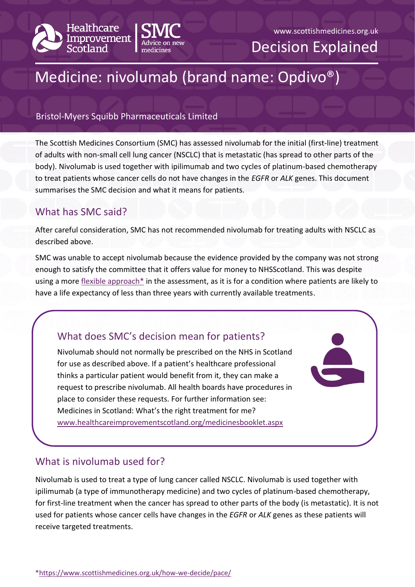



#### www.scottishmedicines.org.uk

Decision Explained

# Medicine: nivolumab (brand name: Opdivo®)

#### Bristol-Myers Squibb Pharmaceuticals Limited

The Scottish Medicines Consortium (SMC) has assessed nivolumab for the initial (first-line) treatment of adults with non-small cell lung cancer (NSCLC) that is metastatic (has spread to other parts of the body). Nivolumab is used together with ipilimumab and two cycles of platinum-based chemotherapy to treat patients whose cancer cells do not have changes in the *EGFR* or *ALK* genes. This document summarises the SMC decision and what it means for patients.

# What has SMC said?

After careful consideration, SMC has not recommended nivolumab for treating adults with NSCLC as described above.

SMC was unable to accept nivolumab because the evidence provided by the company was not strong enough to satisfy the committee that it offers value for money to NHSScotland. This was despite using a more [flexible approach\\*](https://www.scottishmedicines.org.uk/how-we-decide/pace/) in the assessment, as it is for a condition where patients are likely to have a life expectancy of less than three years with currently available treatments.

# What does SMC's decision mean for patients?

Nivolumab should not normally be prescribed on the NHS in Scotland for use as described above. If a patient's healthcare professional thinks a particular patient would benefit from it, they can make a request to prescribe nivolumab. All health boards have procedures in place to consider these requests. For further information see: Medicines in Scotland: What's the right treatment for me? [www.healthcareimprovementscotland.org/medicinesbooklet.aspx](http://www.healthcareimprovementscotland.org/our_work/technologies_and_medicines/adtc_resources/medicines_booklet.aspx)

## What is nivolumab used for?

Nivolumab is used to treat a type of lung cancer called NSCLC. Nivolumab is used together with ipilimumab (a type of immunotherapy medicine) and two cycles of platinum-based chemotherapy, for first-line treatment when the cancer has spread to other parts of the body (is metastatic). It is not used for patients whose cancer cells have changes in the *EGFR* or *ALK* genes as these patients will receive targeted treatments.